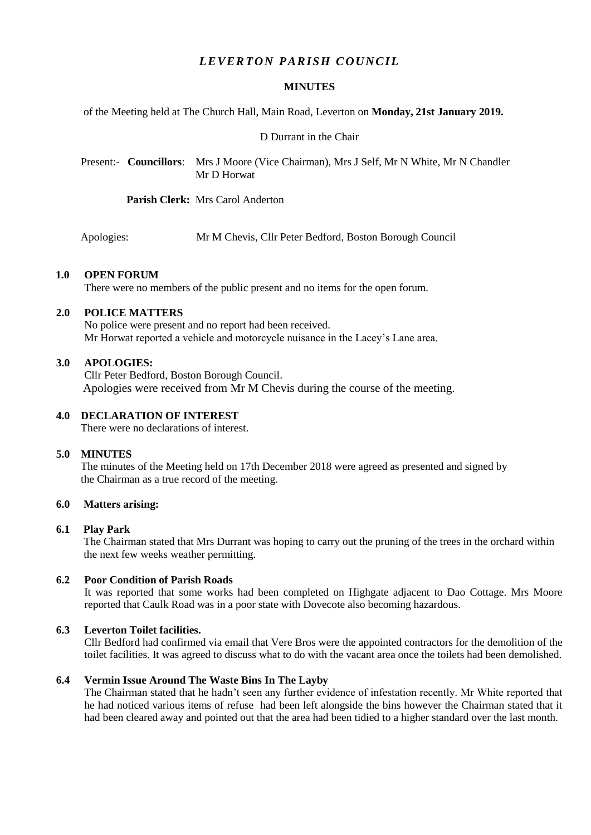# *L E VER T ON PARISH C OU NC IL*

## **MINUTES**

of the Meeting held at The Church Hall, Main Road, Leverton on **Monday, 21st January 2019.**

#### D Durrant in the Chair

 Present:- **Councillors**: Mrs J Moore (Vice Chairman), Mrs J Self, Mr N White, Mr N Chandler Mr D Horwat

**Parish Clerk:** Mrs Carol Anderton

Apologies: Mr M Chevis, Cllr Peter Bedford, Boston Borough Council

## **1.0 OPEN FORUM**

There were no members of the public present and no items for the open forum.

### **2.0 POLICE MATTERS**

No police were present and no report had been received. Mr Horwat reported a vehicle and motorcycle nuisance in the Lacey's Lane area.

#### **3.0 APOLOGIES:**

Cllr Peter Bedford, Boston Borough Council. Apologies were received from Mr M Chevis during the course of the meeting.

#### **4.0 DECLARATION OF INTEREST**

There were no declarations of interest.

#### **5.0 MINUTES**

 The minutes of the Meeting held on 17th December 2018 were agreed as presented and signed by the Chairman as a true record of the meeting.

## **6.0 Matters arising:**

#### **6.1 Play Park**

The Chairman stated that Mrs Durrant was hoping to carry out the pruning of the trees in the orchard within the next few weeks weather permitting.

#### **6.2 Poor Condition of Parish Roads**

It was reported that some works had been completed on Highgate adjacent to Dao Cottage. Mrs Moore reported that Caulk Road was in a poor state with Dovecote also becoming hazardous.

## **6.3 Leverton Toilet facilities.**

Cllr Bedford had confirmed via email that Vere Bros were the appointed contractors for the demolition of the toilet facilities. It was agreed to discuss what to do with the vacant area once the toilets had been demolished.

## **6.4 Vermin Issue Around The Waste Bins In The Layby**

The Chairman stated that he hadn't seen any further evidence of infestation recently. Mr White reported that he had noticed various items of refuse had been left alongside the bins however the Chairman stated that it had been cleared away and pointed out that the area had been tidied to a higher standard over the last month.